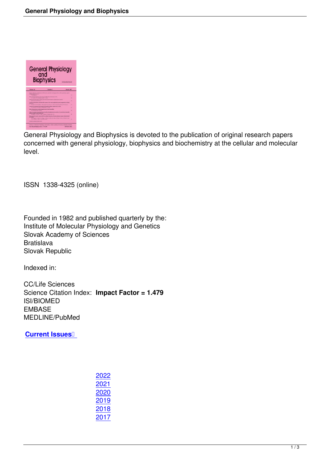

General Physiology and Biophysics is devoted to the publication of original research papers concerned with general physiology, biophysics and biochemistry at the cellular and molecular level.

ISSN 1338-4325 (online)

Founded in 1982 and published quarterly by the: Institute of Molecular Physiology and Genetics Slovak Academy of Sciences Bratislava Slovak Republic

Indexed in:

CC/Life Sciences Science Citation Index: **Impact Factor = 1.479** ISI/BIOMED EMBASE MEDLINE/PubMed

**Current Issues**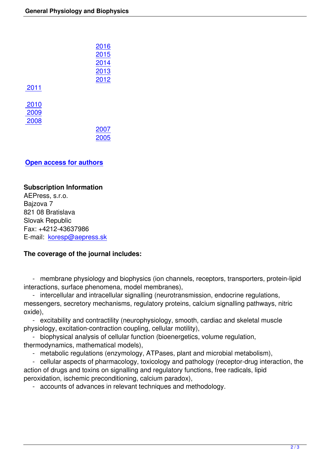|      | 2016 |
|------|------|
|      | 2015 |
|      | 2014 |
|      | 2013 |
|      | 2012 |
| 2011 |      |
|      |      |
| 2010 |      |
| 2009 |      |
| 2008 |      |
|      | 2007 |
|      | 2005 |
|      |      |

## **Open access for auth[ors](index.php?page=shop.browse&category_id=27&option=com_virtuemart&Itemid=11)**

## **[Subscription Information](index.php?option=com_content&view=article&id=79&Itemid=11&category_id=26)**

AEPress, s.r.o. Bajzova 7 821 08 Bratislava Slovak Republic Fax: +4212-43637986 E-mail: koresp@aepress.sk

## **The coverage of the journal includes:**

 - membrane physiology and biophysics (ion channels, receptors, transporters, protein-lipid interactions, surface phenomena, model membranes),

 - intercellular and intracellular signalling (neurotransmission, endocrine regulations, messengers, secretory mechanisms, regulatory proteins, calcium signalling pathways, nitric oxide),

 - excitability and contractility (neurophysiology, smooth, cardiac and skeletal muscle physiology, excitation-contraction coupling, cellular motility),

 - biophysical analysis of cellular function (bioenergetics, volume regulation, thermodynamics, mathematical models),

- metabolic regulations (enzymology, ATPases, plant and microbial metabolism),

 - cellular aspects of pharmacology, toxicology and pathology (receptor-drug interaction, the action of drugs and toxins on signalling and regulatory functions, free radicals, lipid peroxidation, ischemic preconditioning, calcium paradox),

- accounts of advances in relevant techniques and methodology.